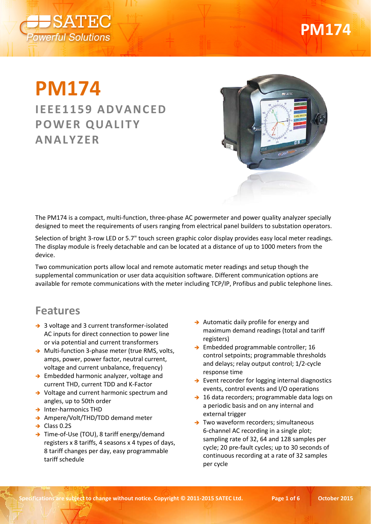

# **PM174**

## **PM174 IEEE1159 ADVANCED POWER QUALITY ANALYZER**



The PM174 is a compact, multi-function, three-phase AC powermeter and power quality analyzer specially designed to meet the requirements of users ranging from electrical panel builders to substation operators.

Selection of bright 3-row LED or 5.7" touch screen graphic color display provides easy local meter readings. The display module is freely detachable and can be located at a distance of up to 1000 meters from the device.

Two communication ports allow local and remote automatic meter readings and setup though the supplemental communication or user data acquisition software. Different communication options are available for remote communications with the meter including TCP/IP, Profibus and public telephone lines.

#### **Features**

- → 3 voltage and 3 current transformer-isolated AC inputs for direct connection to power line or via potential and current transformers
- → Multi-function 3-phase meter (true RMS, volts, amps, power, power factor, neutral current, voltage and current unbalance, frequency)
- → Embedded harmonic analyzer, voltage and current THD, current TDD and K-Factor
- → Voltage and current harmonic spectrum and angles, up to 50th order
- $\rightarrow$  Inter-harmonics THD
- → Ampere/Volt/THD/TDD demand meter
- $\rightarrow$  Class 0.2S
- → Time-of-Use (TOU), 8 tariff energy/demand registers x 8 tariffs, 4 seasons x 4 types of days, 8 tariff changes per day, easy programmable tariff schedule
- $\rightarrow$  Automatic daily profile for energy and maximum demand readings (total and tariff registers)
- → Embedded programmable controller; 16 control setpoints; programmable thresholds and delays; relay output control; 1/2-cycle response time
- $\rightarrow$  Event recorder for logging internal diagnostics events, control events and I/O operations
- → 16 data recorders; programmable data logs on a periodic basis and on any internal and external trigger
- $\rightarrow$  Two waveform recorders; simultaneous 6-channel AC recording in a single plot; sampling rate of 32, 64 and 128 samples per cycle; 20 pre-fault cycles; up to 30 seconds of continuous recording at a rate of 32 samples per cycle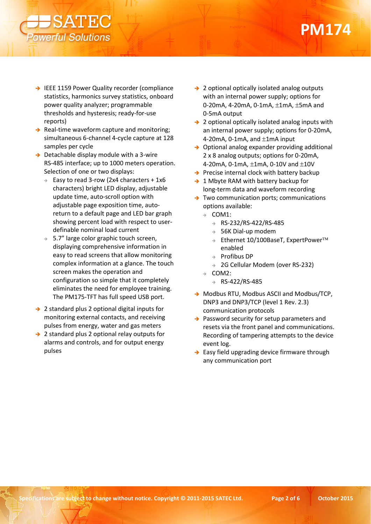

- → IEEE 1159 Power Quality recorder (compliance statistics, harmonics survey statistics, onboard power quality analyzer; programmable thresholds and hysteresis; ready-for-use reports)
- $\rightarrow$  Real-time waveform capture and monitoring; simultaneous 6-channel 4-cycle capture at 128 samples per cycle
- $\rightarrow$  Detachable display module with a 3-wire RS-485 interface; up to 1000 meters operation. Selection of one or two displays:
	- Easy to read 3-row (2x4 characters + 1x6 characters) bright LED display, adjustable update time, auto-scroll option with adjustable page exposition time, autoreturn to a default page and LED bar graph showing percent load with respect to userdefinable nominal load current
	- $\rightarrow$  5.7" large color graphic touch screen, displaying comprehensive information in easy to read screens that allow monitoring complex information at a glance. The touch screen makes the operation and configuration so simple that it completely eliminates the need for employee training. The PM175-TFT has full speed USB port.
- → 2 standard plus 2 optional digital inputs for monitoring external contacts, and receiving pulses from energy, water and gas meters
- → 2 standard plus 2 optional relay outputs for alarms and controls, and for output energy pulses
- → 2 optional optically isolated analog outputs with an internal power supply; options for 0-20mA, 4-20mA, 0-1mA, ±1mA, ±5mA and 0-5mA output
- $\rightarrow$  2 optional optically isolated analog inputs with an internal power supply; options for 0-20mA, 4-20mA, 0-1mA, and ±1mA input
- $\rightarrow$  Optional analog expander providing additional 2 x 8 analog outputs; options for 0-20mA, 4-20mA, 0-1mA, ±1mA, 0-10V and ±10V
- $\rightarrow$  Precise internal clock with battery backup
- $\rightarrow$  1 Mbyte RAM with battery backup for long-term data and waveform recording
- $\rightarrow$  Two communication ports; communications options available:
	- $\rightarrow$  COM1:
		- $\rightarrow$  RS-232/RS-422/RS-485
		- $\rightarrow$  56K Dial-up modem
		- $\Rightarrow$  Ethernet 10/100BaseT, ExpertPower<sup>TM</sup> enabled
		- $\rightarrow$  Profibus DP
		- → 2G Cellular Modem (over RS-232)
	- $\rightarrow$  COM2:
		- $\rightarrow$  RS-422/RS-485
- → Modbus RTU, Modbus ASCII and Modbus/TCP, DNP3 and DNP3/TCP (level 1 Rev. 2.3) communication protocols
- $\rightarrow$  Password security for setup parameters and resets via the front panel and communications. Recording of tampering attempts to the device event log.
- $\rightarrow$  Easy field upgrading device firmware through any communication port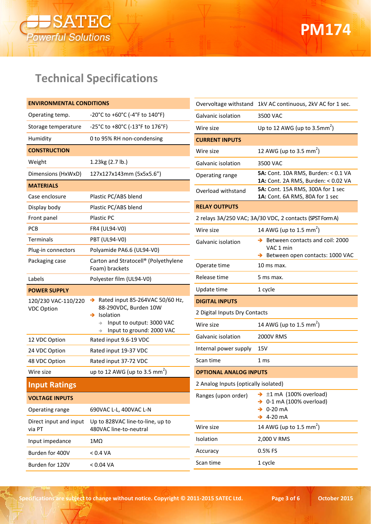

### **Technical Specifications**

| <b>ENVIRONMENTAL CONDITIONS</b>  |                                                            |                                      | Overvoltage withstand 1kV AC continuous, 2kV AC for 1 sec.               |
|----------------------------------|------------------------------------------------------------|--------------------------------------|--------------------------------------------------------------------------|
| Operating temp.                  | -20°C to +60°C (-4°F to $140°$ F)                          | Galvanic isolation                   | 3500 VAC                                                                 |
| Storage temperature              | -25°C to +80°C (-13°F to 176°F)                            | Wire size                            | Up to 12 AWG (up to $3.5$ mm <sup>2</sup> )                              |
| Humidity                         | 0 to 95% RH non-condensing                                 | <b>CURRENT INPUTS</b>                |                                                                          |
| <b>CONSTRUCTION</b>              |                                                            | Wire size                            | 12 AWG (up to 3.5 mm <sup>2</sup> )                                      |
| Weight                           | 1.23kg (2.7 lb.)                                           | Galvanic isolation                   | 3500 VAC                                                                 |
| Dimensions (HxWxD)               | 127x127x143mm (5x5x5.6")                                   | Operating range                      | 5A: Cont. 10A RMS, Burden: < 0.1 VA                                      |
| <b>MATERIALS</b>                 |                                                            | Overload withstand                   | 1A: Cont. 2A RMS, Burden: < 0.02 VA<br>5A: Cont. 15A RMS, 300A for 1 sec |
| Case enclosure                   | Plastic PC/ABS blend                                       |                                      | 1A: Cont. 6A RMS, 80A for 1 sec                                          |
| Display body                     | Plastic PC/ABS blend                                       | <b>RELAY OUTPUTS</b>                 |                                                                          |
| Front panel                      | Plastic PC                                                 |                                      | 2 relays 3A/250 VAC; 3A/30 VDC, 2 contacts (SPST Form A)                 |
| PCB                              | FR4 (UL94-V0)                                              | Wire size                            | 14 AWG (up to 1.5 mm <sup>2</sup> )                                      |
| Terminals                        | <b>PBT (UL94-V0)</b>                                       | Galvanic isolation                   | $\rightarrow$ Between contacts and coil: 2000                            |
| Plug-in connectors               | Polyamide PA6.6 (UL94-V0)                                  |                                      | VAC 1 min<br>Between open contacts: 1000 VAC                             |
| Packaging case                   | Carton and Stratocell® (Polyethylene<br>Foam) brackets     | Operate time                         | 10 ms max.                                                               |
| Labels                           | Polyester film (UL94-V0)                                   | Release time                         | 5 ms max.                                                                |
|                                  |                                                            |                                      |                                                                          |
| <b>POWER SUPPLY</b>              |                                                            | Update time                          | 1 cycle                                                                  |
| 120/230 VAC-110/220              | Rated input 85-264VAC 50/60 Hz,<br>$\rightarrow$           | <b>DIGITAL INPUTS</b>                |                                                                          |
| <b>VDC Option</b>                | 88-290VDC, Burden 10W<br>$\rightarrow$ Isolation           | 2 Digital Inputs Dry Contacts        |                                                                          |
|                                  | Input to output: 3000 VAC                                  | Wire size                            | 14 AWG (up to 1.5 mm <sup>2</sup> )                                      |
| 12 VDC Option                    | Input to ground: 2000 VAC<br>Rated input 9.6-19 VDC        | Galvanic isolation                   | 2000V RMS                                                                |
| 24 VDC Option                    | Rated input 19-37 VDC                                      | Internal power supply                | 15V                                                                      |
| 48 VDC Option                    | Rated input 37-72 VDC                                      | Scan time                            | 1 <sub>ms</sub>                                                          |
| Wire size                        | up to 12 AWG (up to 3.5 mm <sup>2</sup> )                  | <b>OPTIONAL ANALOG INPUTS</b>        |                                                                          |
| <b>Input Ratings</b>             |                                                            | 2 Analog Inputs (optically isolated) |                                                                          |
| <b>VOLTAGE INPUTS</b>            |                                                            | Ranges (upon order)                  | $\rightarrow \pm 1$ mA (100% overload)                                   |
| Operating range                  | 690VAC L-L, 400VAC L-N                                     |                                      | $\rightarrow$ 0-1 mA (100% overload)<br>0-20 mA                          |
| Direct input and input<br>via PT | Up to 828VAC line-to-line, up to<br>480VAC line-to-neutral | Wire size                            | $\rightarrow$ 4-20 mA<br>14 AWG (up to 1.5 mm <sup>2</sup> )             |
| Input impedance                  | $1M\Omega$                                                 | Isolation                            | 2,000 V RMS                                                              |
| Burden for 400V                  | < 0.4 VA                                                   | Accuracy                             | 0.5% FS                                                                  |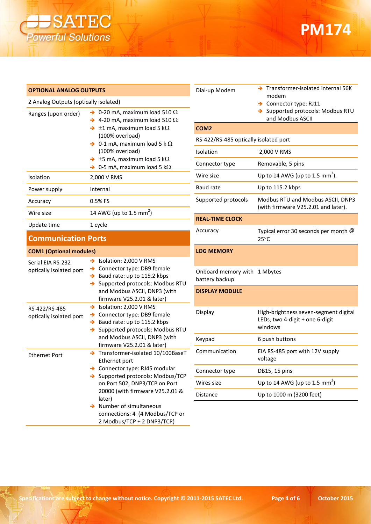

## **PM174**

| <b>OPTIONAL ANALOG OUTPUTS</b>               |                                                                                                                                                        | Dial-up Moder                 |
|----------------------------------------------|--------------------------------------------------------------------------------------------------------------------------------------------------------|-------------------------------|
| 2 Analog Outputs (optically isolated)        |                                                                                                                                                        |                               |
| Ranges (upon order)                          | $\rightarrow$ 0-20 mA, maximum load 510 $\Omega$<br>$\rightarrow$ 4-20 mA, maximum load 510 $\Omega$                                                   |                               |
|                                              | $\rightarrow \pm 1$ mA, maximum load 5 k $\Omega$                                                                                                      | COM <sub>2</sub>              |
|                                              | (100% overload)<br>$\rightarrow$ 0-1 mA, maximum load 5 k $\Omega$                                                                                     | RS-422/RS-485                 |
|                                              | (100% overload)                                                                                                                                        | Isolation                     |
|                                              | $\rightarrow$ ±5 mA, maximum load 5 k $\Omega$<br>$\rightarrow$ 0-5 mA, maximum load 5 k $\Omega$                                                      | Connector typ                 |
| Isolation                                    | 2,000 V RMS                                                                                                                                            | Wire size                     |
| Power supply                                 | Internal                                                                                                                                               | Baud rate                     |
| Accuracy                                     | 0.5% FS                                                                                                                                                | Supported pro                 |
| Wire size                                    | 14 AWG (up to 1.5 mm <sup>2</sup> )                                                                                                                    |                               |
| Update time                                  | 1 cycle                                                                                                                                                | <b>REAL-TIME CLO</b>          |
| <b>Communication Ports</b>                   |                                                                                                                                                        | Accuracy                      |
| <b>COM1 (Optional modules)</b>               |                                                                                                                                                        | <b>LOG MEMORY</b>             |
| Serial EIA RS-232<br>optically isolated port | $\rightarrow$ Isolation: 2,000 V RMS<br>> Connector type: DB9 female<br>$\rightarrow$ Baud rate: up to 115.2 kbps<br>> Supported protocols: Modbus RTU | Onboard mem<br>battery backup |
|                                              | and Modbus ASCII, DNP3 (with<br>firmware V25.2.01 & later)                                                                                             | <b>DISPLAY MOD</b>            |
| RS-422/RS-485<br>optically isolated port     | Solation: 2,000 V RMS<br>> Connector type: DB9 female<br>$\rightarrow$ Baud rate: up to 115.2 kbps<br>Supported protocols: Modbus RTU<br>$\rightarrow$ | Display                       |
|                                              | and Modbus ASCII, DNP3 (with<br>firmware V25.2.01 & later)                                                                                             | Keypad                        |
| <b>Ethernet Port</b>                         | > Transformer-isolated 10/100BaseT<br>Ethernet port                                                                                                    | Communicatio                  |
|                                              | > Connector type: RJ45 modular                                                                                                                         | Connector typ                 |
|                                              | > Supported protocols: Modbus/TCP<br>on Port 502, DNP3/TCP on Port                                                                                     | Wires size                    |
|                                              | 20000 (with firmware V25.2.01 &<br>later)                                                                                                              | Distance                      |
|                                              | Number of simultaneous                                                                                                                                 |                               |

| Dial-up Modem                         | > Transformer-isolated internal 56K<br>modem<br>Connector type: RJ11<br>→<br>→ Supported protocols: Modbus RTU |
|---------------------------------------|----------------------------------------------------------------------------------------------------------------|
| COM2                                  | and Modbus ASCII                                                                                               |
| RS-422/RS-485 optically isolated port |                                                                                                                |
| Isolation                             | 2,000 V RMS                                                                                                    |
| Connector type                        | Removable, 5 pins                                                                                              |
| Wire size                             | Up to 14 AWG (up to 1.5 mm <sup>2</sup> ).                                                                     |
| Baud rate                             | Up to 115.2 kbps                                                                                               |
| Supported protocols                   | Modbus RTU and Modbus ASCII, DNP3<br>(with firmware V25.2.01 and later).                                       |
| <b>REAL-TIME CLOCK</b>                |                                                                                                                |
| Accuracy                              | Typical error 30 seconds per month @<br>$25^{\circ}$ C                                                         |
| <b>LOG MEMORY</b>                     |                                                                                                                |
| Onboard memory with<br>battery backup | 1 Mbytes                                                                                                       |
| <b>DISPLAY MODULE</b>                 |                                                                                                                |
| Display                               | High-brightness seven-segment digital<br>LEDs, two 4-digit + one 6-digit<br>windows                            |
| Keypad                                | 6 push buttons                                                                                                 |
| Communication                         | EIA RS-485 port with 12V supply<br>voltage                                                                     |
| Connector type                        | DB15, 15 pins                                                                                                  |
| Wires size                            | Up to 14 AWG (up to 1.5 mm <sup>2</sup> )                                                                      |

connections: 4 (4 Modbus/TCP or 2 Modbus/TCP + 2 DNP3/TCP)

Up to 1000 m (3200 feet)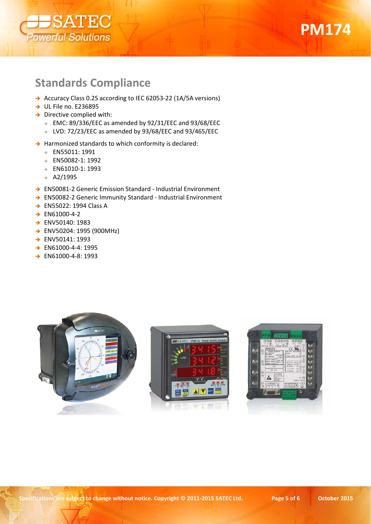



#### **Standards Compliance**

- → Accuracy Class 0.2S according to IEC 62053-22 (1A/5A versions)
- $\rightarrow$  UL File no. E236895
- $\rightarrow$  Directive complied with:
	- EMC: 89/336/EEC as amended by 92/31/EEC and 93/68/EEC
	- LVD: 72/23/EEC as amended by 93/68/EEC and 93/465/EEC
- $\rightarrow$  Harmonized standards to which conformity is declared:
	- EN55011: 1991
	- EN50082-1: 1992
	- EN61010-1: 1993
	- $\rightarrow$  A2/1995
- → EN50081-2 Generic Emission Standard Industrial Environment
- → EN50082-2 Generic Immunity Standard Industrial Environment
- → EN55022: 1994 Class A
- $\rightarrow$  EN61000-4-2
- ENV50140: 1983
- ENV50204: 1995 (900MHz)
- → ENV50141: 1993
- → EN61000-4-4: 1995
- → EN61000-4-8: 1993